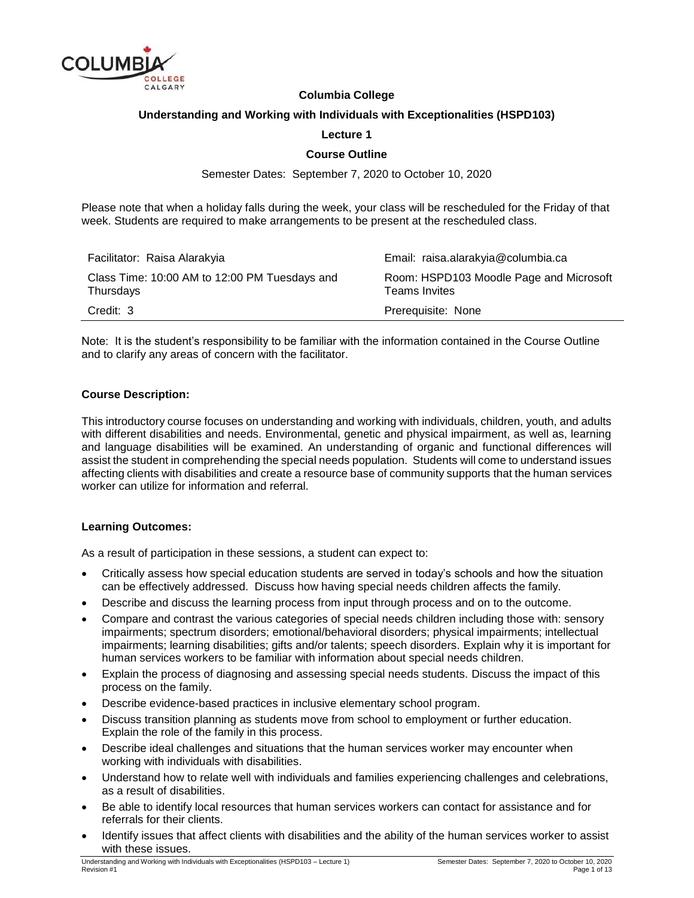

## **Columbia College**

#### **Understanding and Working with Individuals with Exceptionalities (HSPD103)**

#### **Lecture 1**

### **Course Outline**

Semester Dates: September 7, 2020 to October 10, 2020

Please note that when a holiday falls during the week, your class will be rescheduled for the Friday of that week. Students are required to make arrangements to be present at the rescheduled class.

| Facilitator: Raisa Alarakyia                               | Email: raisa.alarakyia@columbia.ca                              |
|------------------------------------------------------------|-----------------------------------------------------------------|
| Class Time: 10:00 AM to 12:00 PM Tuesdays and<br>Thursdays | Room: HSPD103 Moodle Page and Microsoft<br><b>Teams Invites</b> |
| Credit: 3                                                  | Prerequisite: None                                              |

Note: It is the student's responsibility to be familiar with the information contained in the Course Outline and to clarify any areas of concern with the facilitator.

#### **Course Description:**

This introductory course focuses on understanding and working with individuals, children, youth, and adults with different disabilities and needs. Environmental, genetic and physical impairment, as well as, learning and language disabilities will be examined. An understanding of organic and functional differences will assist the student in comprehending the special needs population. Students will come to understand issues affecting clients with disabilities and create a resource base of community supports that the human services worker can utilize for information and referral.

#### **Learning Outcomes:**

As a result of participation in these sessions, a student can expect to:

- Critically assess how special education students are served in today's schools and how the situation can be effectively addressed. Discuss how having special needs children affects the family.
- Describe and discuss the learning process from input through process and on to the outcome.
- Compare and contrast the various categories of special needs children including those with: sensory impairments; spectrum disorders; emotional/behavioral disorders; physical impairments; intellectual impairments; learning disabilities; gifts and/or talents; speech disorders. Explain why it is important for human services workers to be familiar with information about special needs children.
- Explain the process of diagnosing and assessing special needs students. Discuss the impact of this process on the family.
- Describe evidence-based practices in inclusive elementary school program.
- Discuss transition planning as students move from school to employment or further education. Explain the role of the family in this process.
- Describe ideal challenges and situations that the human services worker may encounter when working with individuals with disabilities.
- Understand how to relate well with individuals and families experiencing challenges and celebrations, as a result of disabilities.
- Be able to identify local resources that human services workers can contact for assistance and for referrals for their clients.
- Identify issues that affect clients with disabilities and the ability of the human services worker to assist with these issues.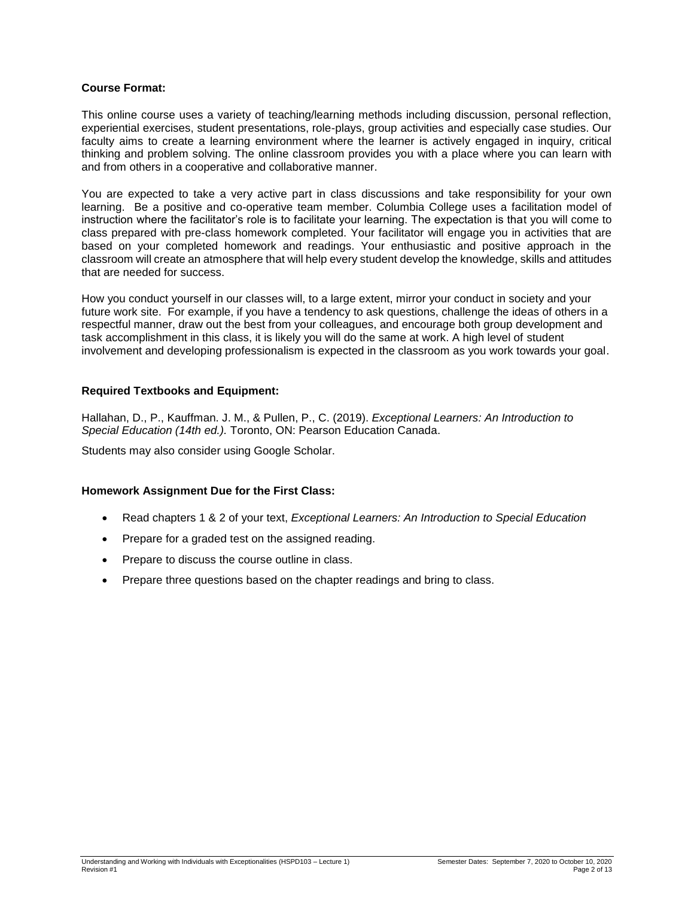## **Course Format:**

This online course uses a variety of teaching/learning methods including discussion, personal reflection, experiential exercises, student presentations, role-plays, group activities and especially case studies. Our faculty aims to create a learning environment where the learner is actively engaged in inquiry, critical thinking and problem solving. The online classroom provides you with a place where you can learn with and from others in a cooperative and collaborative manner.

You are expected to take a very active part in class discussions and take responsibility for your own learning. Be a positive and co-operative team member. Columbia College uses a facilitation model of instruction where the facilitator's role is to facilitate your learning. The expectation is that you will come to class prepared with pre-class homework completed. Your facilitator will engage you in activities that are based on your completed homework and readings. Your enthusiastic and positive approach in the classroom will create an atmosphere that will help every student develop the knowledge, skills and attitudes that are needed for success.

How you conduct yourself in our classes will, to a large extent, mirror your conduct in society and your future work site. For example, if you have a tendency to ask questions, challenge the ideas of others in a respectful manner, draw out the best from your colleagues, and encourage both group development and task accomplishment in this class, it is likely you will do the same at work. A high level of student involvement and developing professionalism is expected in the classroom as you work towards your goal.

## **Required Textbooks and Equipment:**

Hallahan, D., P., Kauffman. J. M., & Pullen, P., C. (2019). *Exceptional Learners: An Introduction to Special Education (14th ed.).* Toronto, ON: Pearson Education Canada.

Students may also consider using Google Scholar.

#### **Homework Assignment Due for the First Class:**

- Read chapters 1 & 2 of your text, *Exceptional Learners: An Introduction to Special Education*
- Prepare for a graded test on the assigned reading.
- Prepare to discuss the course outline in class.
- Prepare three questions based on the chapter readings and bring to class.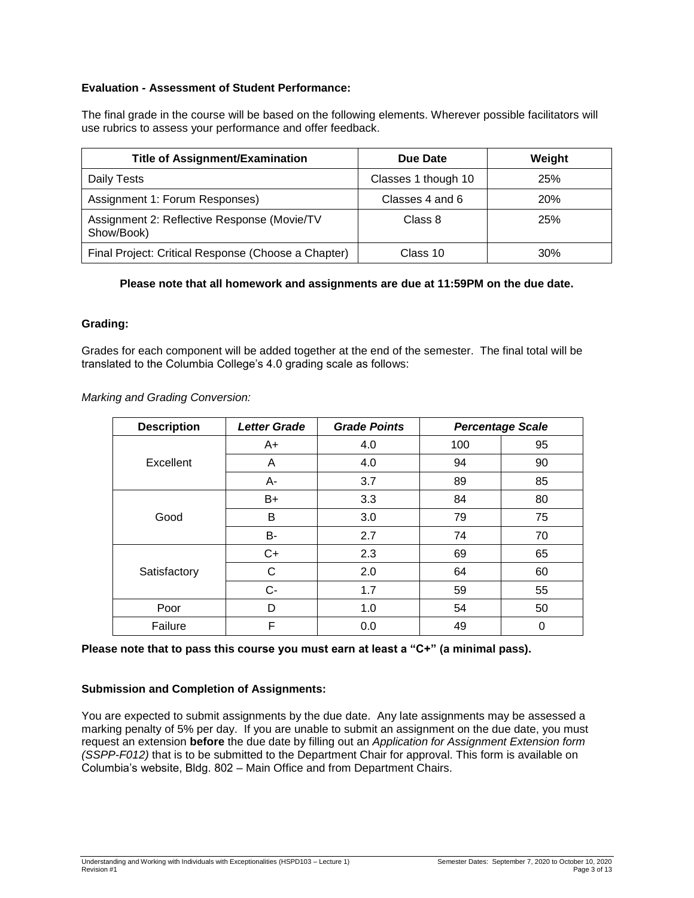# **Evaluation - Assessment of Student Performance:**

The final grade in the course will be based on the following elements. Wherever possible facilitators will use rubrics to assess your performance and offer feedback.

| <b>Title of Assignment/Examination</b>                    | Due Date            | Weight     |
|-----------------------------------------------------------|---------------------|------------|
| Daily Tests                                               | Classes 1 though 10 | 25%        |
| Assignment 1: Forum Responses)                            | Classes 4 and 6     | <b>20%</b> |
| Assignment 2: Reflective Response (Movie/TV<br>Show/Book) | Class 8             | <b>25%</b> |
| Final Project: Critical Response (Choose a Chapter)       | Class 10            | 30%        |

# **Please note that all homework and assignments are due at 11:59PM on the due date.**

## **Grading:**

Grades for each component will be added together at the end of the semester. The final total will be translated to the Columbia College's 4.0 grading scale as follows:

*Marking and Grading Conversion:*

| <b>Description</b> | <b>Letter Grade</b> | <b>Grade Points</b> | <b>Percentage Scale</b> |    |
|--------------------|---------------------|---------------------|-------------------------|----|
|                    | $A+$                | 4.0                 | 100                     | 95 |
| Excellent          | A                   | 4.0                 | 94                      | 90 |
|                    | А-                  | 3.7                 | 89                      | 85 |
|                    | $B+$                | 3.3                 | 84                      | 80 |
| Good               | B                   | 3.0                 | 79                      | 75 |
|                    | B-                  | 2.7                 | 74                      | 70 |
|                    | $C+$                | 2.3                 | 69                      | 65 |
| Satisfactory       | С                   | 2.0                 | 64                      | 60 |
|                    | $C-$                | 1.7                 | 59                      | 55 |
| Poor               | D                   | 1.0                 | 54                      | 50 |
| Failure            | F                   | 0.0                 | 49                      | 0  |

**Please note that to pass this course you must earn at least a "C+" (a minimal pass).**

# **Submission and Completion of Assignments:**

You are expected to submit assignments by the due date. Any late assignments may be assessed a marking penalty of 5% per day. If you are unable to submit an assignment on the due date, you must request an extension **before** the due date by filling out an *Application for Assignment Extension form (SSPP-F012)* that is to be submitted to the Department Chair for approval. This form is available on Columbia's website, Bldg. 802 – Main Office and from Department Chairs.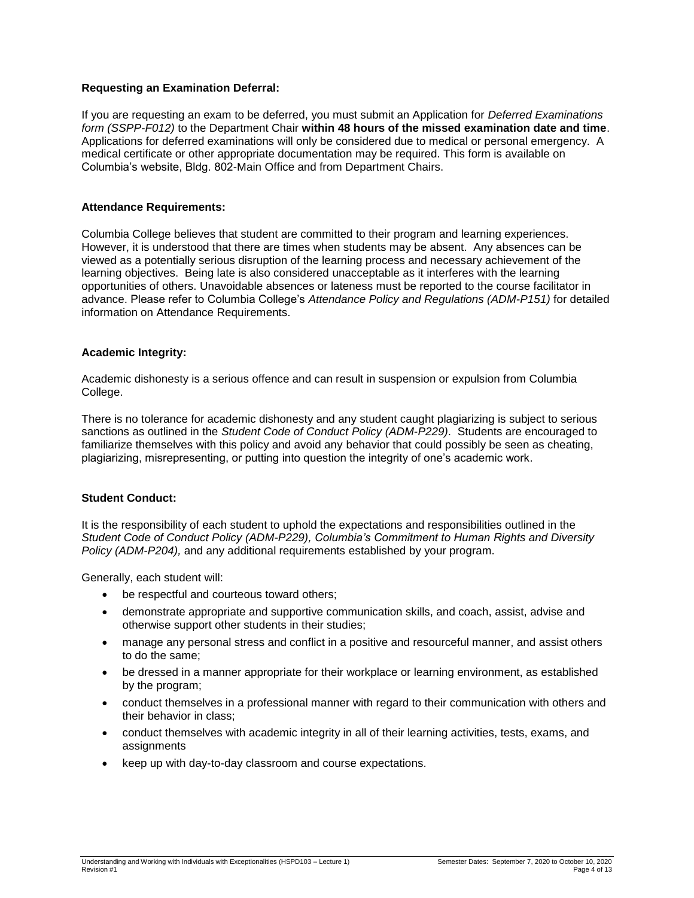## **Requesting an Examination Deferral:**

If you are requesting an exam to be deferred, you must submit an Application for *Deferred Examinations form (SSPP-F012)* to the Department Chair **within 48 hours of the missed examination date and time**. Applications for deferred examinations will only be considered due to medical or personal emergency. A medical certificate or other appropriate documentation may be required. This form is available on Columbia's website, Bldg. 802-Main Office and from Department Chairs.

#### **Attendance Requirements:**

Columbia College believes that student are committed to their program and learning experiences. However, it is understood that there are times when students may be absent. Any absences can be viewed as a potentially serious disruption of the learning process and necessary achievement of the learning objectives. Being late is also considered unacceptable as it interferes with the learning opportunities of others. Unavoidable absences or lateness must be reported to the course facilitator in advance. Please refer to Columbia College's *Attendance Policy and Regulations (ADM-P151)* for detailed information on Attendance Requirements.

## **Academic Integrity:**

Academic dishonesty is a serious offence and can result in suspension or expulsion from Columbia College.

There is no tolerance for academic dishonesty and any student caught plagiarizing is subject to serious sanctions as outlined in the *Student Code of Conduct Policy (ADM-P229)*. Students are encouraged to familiarize themselves with this policy and avoid any behavior that could possibly be seen as cheating, plagiarizing, misrepresenting, or putting into question the integrity of one's academic work.

#### **Student Conduct:**

It is the responsibility of each student to uphold the expectations and responsibilities outlined in the *Student Code of Conduct Policy (ADM-P229), Columbia's Commitment to Human Rights and Diversity Policy (ADM-P204),* and any additional requirements established by your program.

Generally, each student will:

- be respectful and courteous toward others;
- demonstrate appropriate and supportive communication skills, and coach, assist, advise and otherwise support other students in their studies;
- manage any personal stress and conflict in a positive and resourceful manner, and assist others to do the same;
- be dressed in a manner appropriate for their workplace or learning environment, as established by the program;
- conduct themselves in a professional manner with regard to their communication with others and their behavior in class;
- conduct themselves with academic integrity in all of their learning activities, tests, exams, and assignments
- keep up with day-to-day classroom and course expectations.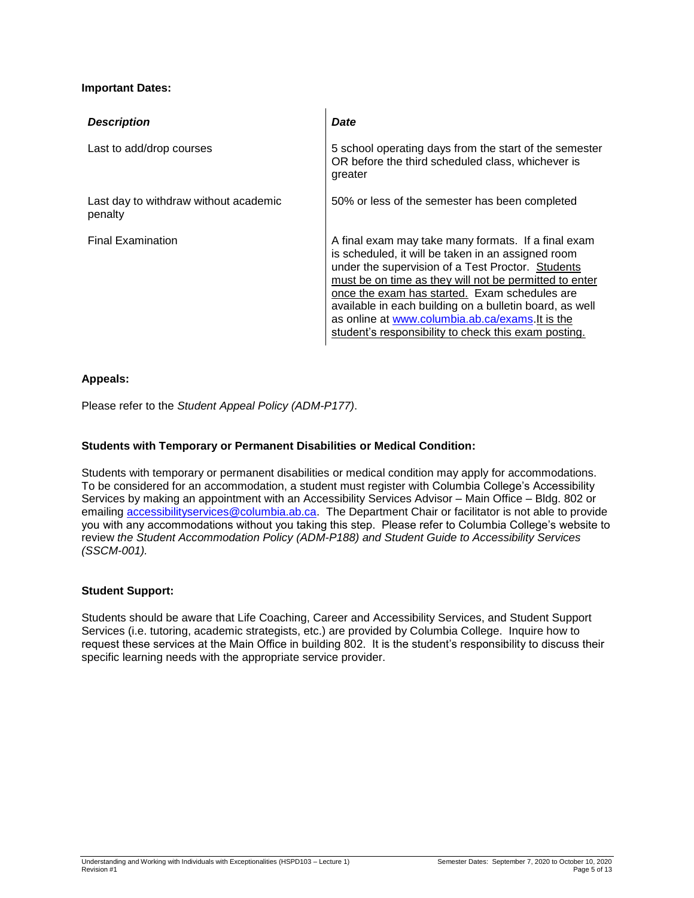# **Important Dates:**

| <b>Description</b>                               | Date                                                                                                                                                                                                                                                                                                                                                                                                                                            |
|--------------------------------------------------|-------------------------------------------------------------------------------------------------------------------------------------------------------------------------------------------------------------------------------------------------------------------------------------------------------------------------------------------------------------------------------------------------------------------------------------------------|
| Last to add/drop courses                         | 5 school operating days from the start of the semester<br>OR before the third scheduled class, whichever is<br>greater                                                                                                                                                                                                                                                                                                                          |
| Last day to withdraw without academic<br>penalty | 50% or less of the semester has been completed                                                                                                                                                                                                                                                                                                                                                                                                  |
| <b>Final Examination</b>                         | A final exam may take many formats. If a final exam<br>is scheduled, it will be taken in an assigned room<br>under the supervision of a Test Proctor. Students<br>must be on time as they will not be permitted to enter<br>once the exam has started. Exam schedules are<br>available in each building on a bulletin board, as well<br>as online at www.columbia.ab.ca/exams.It is the<br>student's responsibility to check this exam posting. |

# **Appeals:**

Please refer to the *Student Appeal Policy (ADM-P177)*.

# **Students with Temporary or Permanent Disabilities or Medical Condition:**

Students with temporary or permanent disabilities or medical condition may apply for accommodations. To be considered for an accommodation, a student must register with Columbia College's Accessibility Services by making an appointment with an Accessibility Services Advisor – Main Office – Bldg. 802 or emailing [accessibilityservices@columbia.ab.ca.](mailto:accessibilityservices@columbia.ab.ca) The Department Chair or facilitator is not able to provide you with any accommodations without you taking this step. Please refer to Columbia College's website to review *the Student Accommodation Policy (ADM-P188) and Student Guide to Accessibility Services (SSCM-001).*

#### **Student Support:**

Students should be aware that Life Coaching, Career and Accessibility Services, and Student Support Services (i.e. tutoring, academic strategists, etc.) are provided by Columbia College. Inquire how to request these services at the Main Office in building 802. It is the student's responsibility to discuss their specific learning needs with the appropriate service provider.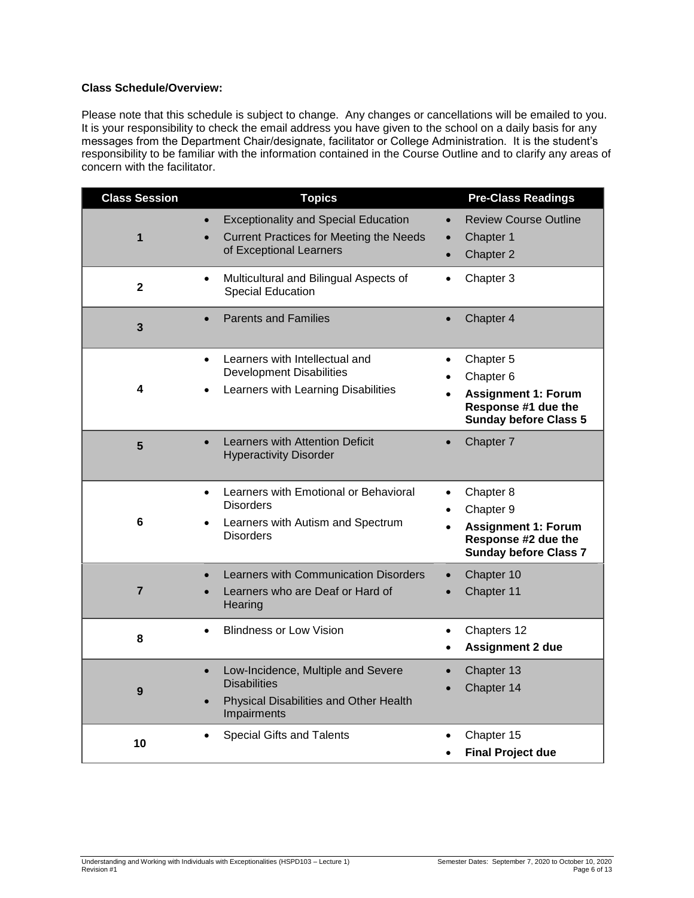# **Class Schedule/Overview:**

Please note that this schedule is subject to change. Any changes or cancellations will be emailed to you. It is your responsibility to check the email address you have given to the school on a daily basis for any messages from the Department Chair/designate, facilitator or College Administration. It is the student's responsibility to be familiar with the information contained in the Course Outline and to clarify any areas of concern with the facilitator.

| <b>Class Session</b> | <b>Topics</b>                                                                                                                   | <b>Pre-Class Readings</b>                                                                                                |
|----------------------|---------------------------------------------------------------------------------------------------------------------------------|--------------------------------------------------------------------------------------------------------------------------|
| 1                    | <b>Exceptionality and Special Education</b><br><b>Current Practices for Meeting the Needs</b><br>of Exceptional Learners        | <b>Review Course Outline</b><br>$\bullet$<br>Chapter 1<br>Chapter 2<br>$\bullet$                                         |
| $\overline{2}$       | Multicultural and Bilingual Aspects of<br>$\bullet$<br>Special Education                                                        | Chapter 3<br>$\bullet$                                                                                                   |
| 3                    | <b>Parents and Families</b><br>$\bullet$                                                                                        | Chapter 4<br>$\bullet$                                                                                                   |
| 4                    | Learners with Intellectual and<br>$\bullet$<br><b>Development Disabilities</b><br>Learners with Learning Disabilities           | Chapter 5<br>$\bullet$<br>Chapter 6<br><b>Assignment 1: Forum</b><br>Response #1 due the<br><b>Sunday before Class 5</b> |
| 5                    | <b>Learners with Attention Deficit</b><br><b>Hyperactivity Disorder</b>                                                         | Chapter 7<br>$\bullet$                                                                                                   |
| 6                    | Learners with Emotional or Behavioral<br>$\bullet$<br><b>Disorders</b><br>Learners with Autism and Spectrum<br><b>Disorders</b> | Chapter 8<br>$\bullet$<br>Chapter 9<br><b>Assignment 1: Forum</b><br>Response #2 due the<br><b>Sunday before Class 7</b> |
| $\overline{7}$       | Learners with Communication Disorders<br>Learners who are Deaf or Hard of<br>Hearing                                            | Chapter 10<br>$\bullet$<br>Chapter 11<br>$\bullet$                                                                       |
| 8                    | <b>Blindness or Low Vision</b><br>$\bullet$                                                                                     | Chapters 12<br>$\bullet$<br><b>Assignment 2 due</b><br>$\bullet$                                                         |
| 9                    | Low-Incidence, Multiple and Severe<br><b>Disabilities</b><br>Physical Disabilities and Other Health<br>Impairments              | Chapter 13<br>Chapter 14                                                                                                 |
| 10                   | <b>Special Gifts and Talents</b>                                                                                                | Chapter 15<br><b>Final Project due</b>                                                                                   |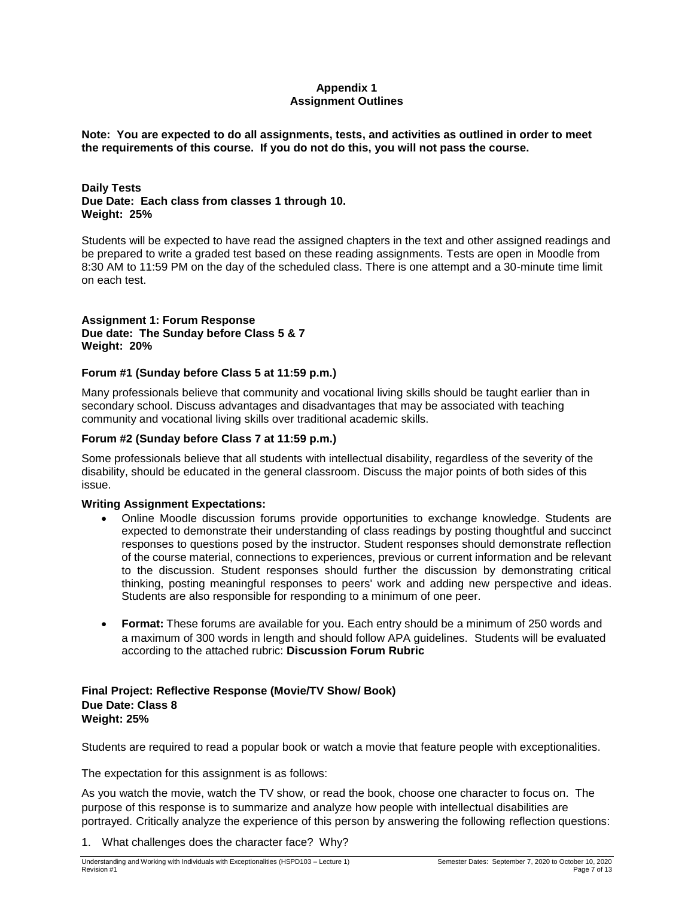# **Appendix 1 Assignment Outlines**

**Note: You are expected to do all assignments, tests, and activities as outlined in order to meet the requirements of this course. If you do not do this, you will not pass the course.** 

#### **Daily Tests Due Date: Each class from classes 1 through 10. Weight: 25%**

Students will be expected to have read the assigned chapters in the text and other assigned readings and be prepared to write a graded test based on these reading assignments. Tests are open in Moodle from 8:30 AM to 11:59 PM on the day of the scheduled class. There is one attempt and a 30-minute time limit on each test.

## **Assignment 1: Forum Response Due date: The Sunday before Class 5 & 7 Weight: 20%**

## **Forum #1 (Sunday before Class 5 at 11:59 p.m.)**

Many professionals believe that community and vocational living skills should be taught earlier than in secondary school. Discuss advantages and disadvantages that may be associated with teaching community and vocational living skills over traditional academic skills.

# **Forum #2 (Sunday before Class 7 at 11:59 p.m.)**

Some professionals believe that all students with intellectual disability, regardless of the severity of the disability, should be educated in the general classroom. Discuss the major points of both sides of this issue.

# **Writing Assignment Expectations:**

- Online Moodle discussion forums provide opportunities to exchange knowledge. Students are expected to demonstrate their understanding of class readings by posting thoughtful and succinct responses to questions posed by the instructor. Student responses should demonstrate reflection of the course material, connections to experiences, previous or current information and be relevant to the discussion. Student responses should further the discussion by demonstrating critical thinking, posting meaningful responses to peers' work and adding new perspective and ideas. Students are also responsible for responding to a minimum of one peer.
- **Format:** These forums are available for you. Each entry should be a minimum of 250 words and a maximum of 300 words in length and should follow APA guidelines. Students will be evaluated according to the attached rubric: **Discussion Forum Rubric**

#### **Final Project: Reflective Response (Movie/TV Show/ Book) Due Date: Class 8 Weight: 25%**

Students are required to read a popular book or watch a movie that feature people with exceptionalities.

The expectation for this assignment is as follows:

As you watch the movie, watch the TV show, or read the book, choose one character to focus on. The purpose of this response is to summarize and analyze how people with intellectual disabilities are portrayed. Critically analyze the experience of this person by answering the following reflection questions:

1. What challenges does the character face? Why?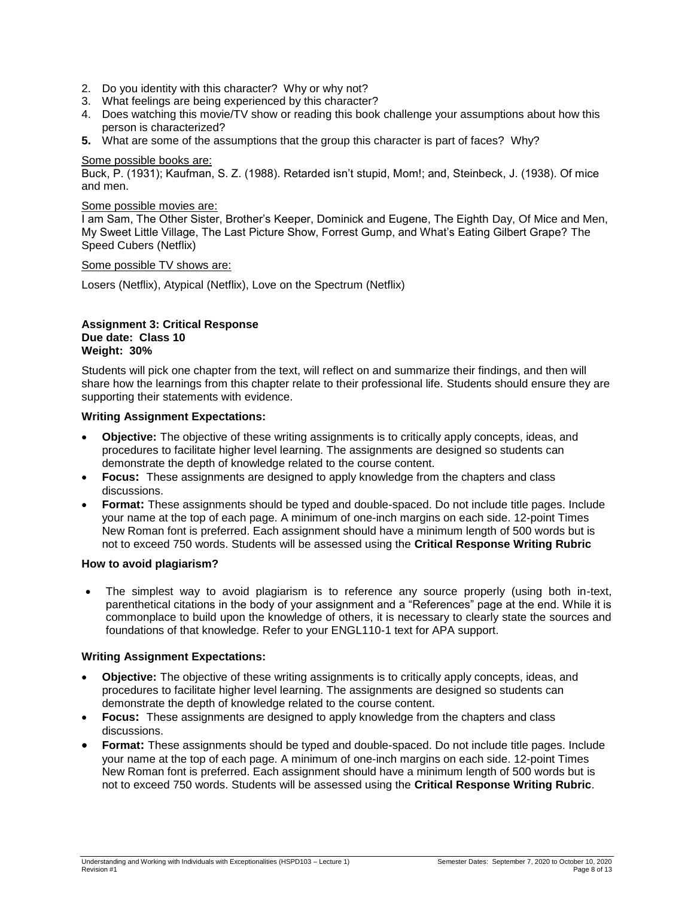- 2. Do you identity with this character? Why or why not?
- 3. What feelings are being experienced by this character?
- 4. Does watching this movie/TV show or reading this book challenge your assumptions about how this person is characterized?
- **5.** What are some of the assumptions that the group this character is part of faces? Why?

#### Some possible books are:

Buck, P. (1931); Kaufman, S. Z. (1988). Retarded isn't stupid, Mom!; and, Steinbeck, J. (1938). Of mice and men.

#### Some possible movies are:

I am Sam, The Other Sister, Brother's Keeper, Dominick and Eugene, The Eighth Day, Of Mice and Men, My Sweet Little Village, The Last Picture Show, Forrest Gump, and What's Eating Gilbert Grape? The Speed Cubers (Netflix)

Some possible TV shows are:

Losers (Netflix), Atypical (Netflix), Love on the Spectrum (Netflix)

#### **Assignment 3: Critical Response Due date: Class 10 Weight: 30%**

Students will pick one chapter from the text, will reflect on and summarize their findings, and then will share how the learnings from this chapter relate to their professional life. Students should ensure they are supporting their statements with evidence.

#### **Writing Assignment Expectations:**

- **Objective:** The objective of these writing assignments is to critically apply concepts, ideas, and procedures to facilitate higher level learning. The assignments are designed so students can demonstrate the depth of knowledge related to the course content.
- **Focus:** These assignments are designed to apply knowledge from the chapters and class discussions.
- **Format:** These assignments should be typed and double-spaced. Do not include title pages. Include your name at the top of each page. A minimum of one-inch margins on each side. 12-point Times New Roman font is preferred. Each assignment should have a minimum length of 500 words but is not to exceed 750 words. Students will be assessed using the **Critical Response Writing Rubric**

#### **How to avoid plagiarism?**

 The simplest way to avoid plagiarism is to reference any source properly (using both in-text, parenthetical citations in the body of your assignment and a "References" page at the end. While it is commonplace to build upon the knowledge of others, it is necessary to clearly state the sources and foundations of that knowledge. Refer to your ENGL110-1 text for APA support.

#### **Writing Assignment Expectations:**

- **Objective:** The objective of these writing assignments is to critically apply concepts, ideas, and procedures to facilitate higher level learning. The assignments are designed so students can demonstrate the depth of knowledge related to the course content.
- **Focus:** These assignments are designed to apply knowledge from the chapters and class discussions.
- **Format:** These assignments should be typed and double-spaced. Do not include title pages. Include your name at the top of each page. A minimum of one-inch margins on each side. 12-point Times New Roman font is preferred. Each assignment should have a minimum length of 500 words but is not to exceed 750 words. Students will be assessed using the **Critical Response Writing Rubric**.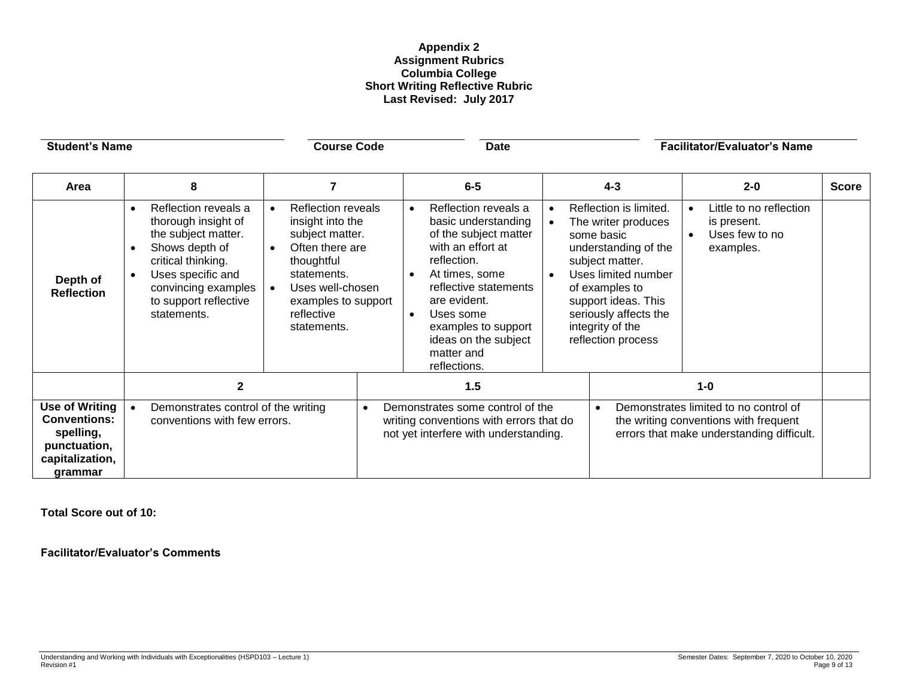## **Appendix 2 Assignment Rubrics Columbia College Short Writing Reflective Rubric Last Revised: July 2017**

| <b>Student's Name</b>                                                                                   |                                                                                                                                                                                                             | <b>Course Code</b>                                                                                                                                                                                                 |                                                                                                                                   | <b>Date</b>                                                                                                                                                                                                                |                                                                                                                                                                                                                                                  | <b>Facilitator/Evaluator's Name</b>                                                                                         |              |  |
|---------------------------------------------------------------------------------------------------------|-------------------------------------------------------------------------------------------------------------------------------------------------------------------------------------------------------------|--------------------------------------------------------------------------------------------------------------------------------------------------------------------------------------------------------------------|-----------------------------------------------------------------------------------------------------------------------------------|----------------------------------------------------------------------------------------------------------------------------------------------------------------------------------------------------------------------------|--------------------------------------------------------------------------------------------------------------------------------------------------------------------------------------------------------------------------------------------------|-----------------------------------------------------------------------------------------------------------------------------|--------------|--|
| Area                                                                                                    | 8                                                                                                                                                                                                           | $\overline{7}$                                                                                                                                                                                                     |                                                                                                                                   | $6-5$                                                                                                                                                                                                                      | $4 - 3$                                                                                                                                                                                                                                          | $2 - 0$                                                                                                                     | <b>Score</b> |  |
| Depth of<br><b>Reflection</b>                                                                           | Reflection reveals a<br>$\bullet$<br>thorough insight of<br>the subject matter.<br>Shows depth of<br>critical thinking.<br>Uses specific and<br>convincing examples<br>to support reflective<br>statements. | <b>Reflection reveals</b><br>$\bullet$<br>insight into the<br>subject matter.<br>Often there are<br>$\bullet$<br>thoughtful<br>statements.<br>Uses well-chosen<br>examples to support<br>reflective<br>statements. | reflection.<br>are evident.<br>Uses some<br>$\bullet$<br>matter and<br>reflections.                                               | Reflection reveals a<br>$\bullet$<br>basic understanding<br>$\bullet$<br>of the subject matter<br>with an effort at<br>At times, some<br>$\bullet$<br>reflective statements<br>examples to support<br>ideas on the subject | Reflection is limited.<br>The writer produces<br>some basic<br>understanding of the<br>subject matter.<br><b>Uses limited number</b><br>of examples to<br>support ideas. This<br>seriously affects the<br>integrity of the<br>reflection process | Little to no reflection<br>is present.<br>Uses few to no<br>examples.                                                       |              |  |
|                                                                                                         | $\mathbf{2}$                                                                                                                                                                                                |                                                                                                                                                                                                                    | 1.5                                                                                                                               |                                                                                                                                                                                                                            | $1 - 0$                                                                                                                                                                                                                                          |                                                                                                                             |              |  |
| <b>Use of Writing</b><br><b>Conventions:</b><br>spelling,<br>punctuation,<br>capitalization,<br>grammar | Demonstrates control of the writing<br>conventions with few errors.                                                                                                                                         |                                                                                                                                                                                                                    | Demonstrates some control of the<br>$\bullet$<br>writing conventions with errors that do<br>not yet interfere with understanding. |                                                                                                                                                                                                                            | $\bullet$                                                                                                                                                                                                                                        | Demonstrates limited to no control of<br>the writing conventions with frequent<br>errors that make understanding difficult. |              |  |

**Total Score out of 10:**

**Facilitator/Evaluator's Comments**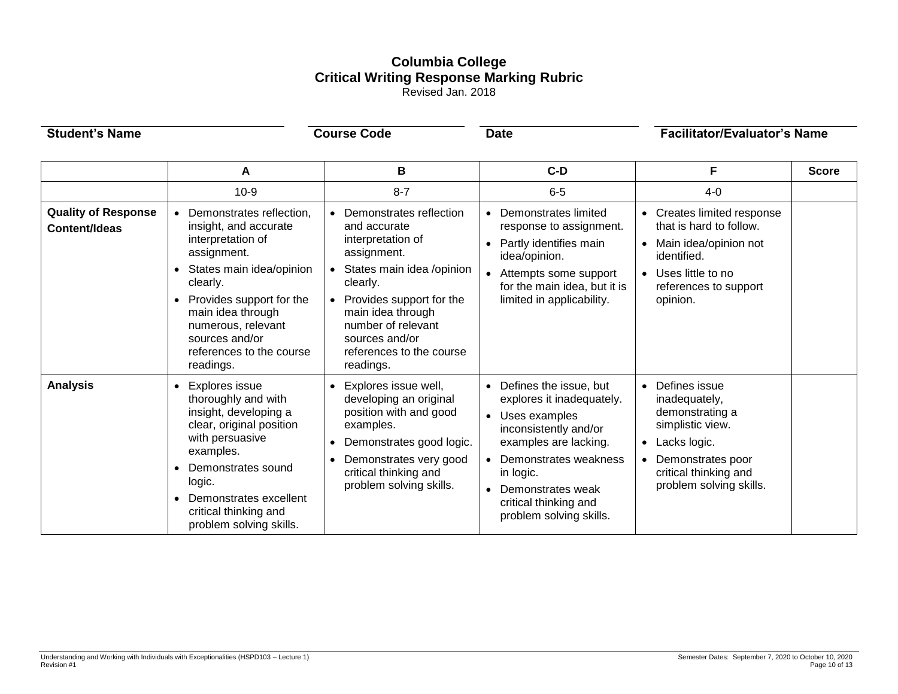# **Columbia College Critical Writing Response Marking Rubric**

Revised Jan. 2018

| <b>Student's Name</b>                              |                                                                                                                                                                                                                                                                              | <b>Course Code</b><br><b>Date</b>                                                                                                                                                                                                                      |                                                                                                                                                                                                                                               |                                                                                                                                                                                              | <b>Facilitator/Evaluator's Name</b> |  |
|----------------------------------------------------|------------------------------------------------------------------------------------------------------------------------------------------------------------------------------------------------------------------------------------------------------------------------------|--------------------------------------------------------------------------------------------------------------------------------------------------------------------------------------------------------------------------------------------------------|-----------------------------------------------------------------------------------------------------------------------------------------------------------------------------------------------------------------------------------------------|----------------------------------------------------------------------------------------------------------------------------------------------------------------------------------------------|-------------------------------------|--|
|                                                    | A                                                                                                                                                                                                                                                                            | В                                                                                                                                                                                                                                                      | $C-D$                                                                                                                                                                                                                                         | F                                                                                                                                                                                            | <b>Score</b>                        |  |
|                                                    | $10-9$                                                                                                                                                                                                                                                                       | $8 - 7$                                                                                                                                                                                                                                                | $6-5$                                                                                                                                                                                                                                         | $4 - 0$                                                                                                                                                                                      |                                     |  |
| <b>Quality of Response</b><br><b>Content/Ideas</b> | Demonstrates reflection,<br>$\bullet$<br>insight, and accurate<br>interpretation of<br>assignment.<br>States main idea/opinion<br>clearly.<br>Provides support for the<br>main idea through<br>numerous, relevant<br>sources and/or<br>references to the course<br>readings. | Demonstrates reflection<br>and accurate<br>interpretation of<br>assignment.<br>States main idea /opinion<br>clearly.<br>Provides support for the<br>main idea through<br>number of relevant<br>sources and/or<br>references to the course<br>readings. | • Demonstrates limited<br>response to assignment.<br>• Partly identifies main<br>idea/opinion.<br>• Attempts some support<br>for the main idea, but it is<br>limited in applicability.                                                        | Creates limited response<br>$\bullet$<br>that is hard to follow.<br>Main idea/opinion not<br>$\bullet$<br>identified.<br>Uses little to no<br>$\bullet$<br>references to support<br>opinion. |                                     |  |
| <b>Analysis</b>                                    | <b>Explores issue</b><br>$\bullet$<br>thoroughly and with<br>insight, developing a<br>clear, original position<br>with persuasive<br>examples.<br>Demonstrates sound<br>logic.<br>Demonstrates excellent<br>$\bullet$<br>critical thinking and<br>problem solving skills.    | Explores issue well,<br>developing an original<br>position with and good<br>examples.<br>Demonstrates good logic.<br>$\bullet$<br>Demonstrates very good<br>critical thinking and<br>problem solving skills.                                           | • Defines the issue, but<br>explores it inadequately.<br>• Uses examples<br>inconsistently and/or<br>examples are lacking.<br>• Demonstrates weakness<br>in logic.<br>• Demonstrates weak<br>critical thinking and<br>problem solving skills. | Defines issue<br>$\bullet$<br>inadequately,<br>demonstrating a<br>simplistic view.<br>Lacks logic.<br>$\bullet$<br>Demonstrates poor<br>critical thinking and<br>problem solving skills.     |                                     |  |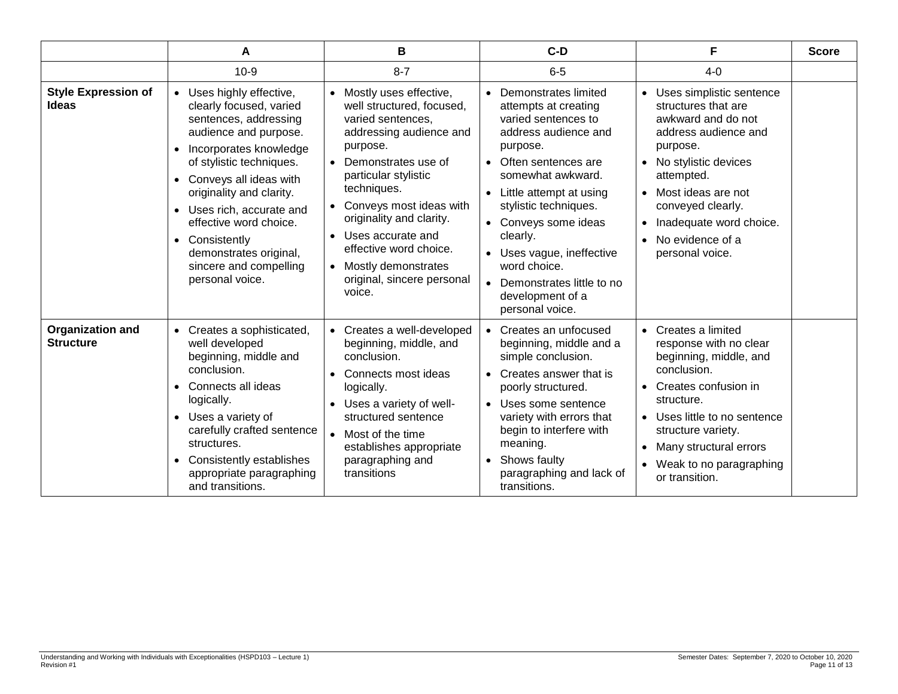|                                             | A                                                                                                                                                                                                                                                                                                                                                                                | в                                                                                                                                                                                                                                                                                                                                                               | $C-D$                                                                                                                                                                                                                                                                                                                                                              | F                                                                                                                                                                                                                                                                                                       | <b>Score</b> |
|---------------------------------------------|----------------------------------------------------------------------------------------------------------------------------------------------------------------------------------------------------------------------------------------------------------------------------------------------------------------------------------------------------------------------------------|-----------------------------------------------------------------------------------------------------------------------------------------------------------------------------------------------------------------------------------------------------------------------------------------------------------------------------------------------------------------|--------------------------------------------------------------------------------------------------------------------------------------------------------------------------------------------------------------------------------------------------------------------------------------------------------------------------------------------------------------------|---------------------------------------------------------------------------------------------------------------------------------------------------------------------------------------------------------------------------------------------------------------------------------------------------------|--------------|
|                                             | $10-9$                                                                                                                                                                                                                                                                                                                                                                           | $8 - 7$                                                                                                                                                                                                                                                                                                                                                         | $6-5$                                                                                                                                                                                                                                                                                                                                                              | $4 - 0$                                                                                                                                                                                                                                                                                                 |              |
| <b>Style Expression of</b><br><b>Ideas</b>  | • Uses highly effective,<br>clearly focused, varied<br>sentences, addressing<br>audience and purpose.<br>Incorporates knowledge<br>$\bullet$<br>of stylistic techniques.<br>• Conveys all ideas with<br>originality and clarity.<br>• Uses rich, accurate and<br>effective word choice.<br>• Consistently<br>demonstrates original,<br>sincere and compelling<br>personal voice. | Mostly uses effective,<br>well structured, focused,<br>varied sentences,<br>addressing audience and<br>purpose.<br>Demonstrates use of<br>particular stylistic<br>techniques.<br>Conveys most ideas with<br>originality and clarity.<br>Uses accurate and<br>effective word choice.<br>Mostly demonstrates<br>$\bullet$<br>original, sincere personal<br>voice. | Demonstrates limited<br>attempts at creating<br>varied sentences to<br>address audience and<br>purpose.<br>• Often sentences are<br>somewhat awkward.<br>• Little attempt at using<br>stylistic techniques.<br>• Conveys some ideas<br>clearly.<br>• Uses vague, ineffective<br>word choice.<br>• Demonstrates little to no<br>development of a<br>personal voice. | Uses simplistic sentence<br>$\bullet$<br>structures that are<br>awkward and do not<br>address audience and<br>purpose.<br>• No stylistic devices<br>attempted.<br>• Most ideas are not<br>conveyed clearly.<br>Inadequate word choice.<br>$\bullet$<br>No evidence of a<br>$\bullet$<br>personal voice. |              |
| <b>Organization and</b><br><b>Structure</b> | • Creates a sophisticated,<br>well developed<br>beginning, middle and<br>conclusion.<br>Connects all ideas<br>$\bullet$<br>logically.<br>• Uses a variety of<br>carefully crafted sentence<br>structures.<br>Consistently establishes<br>$\bullet$<br>appropriate paragraphing<br>and transitions.                                                                               | Creates a well-developed<br>beginning, middle, and<br>conclusion.<br>Connects most ideas<br>logically.<br>Uses a variety of well-<br>structured sentence<br>Most of the time<br>establishes appropriate<br>paragraphing and<br>transitions                                                                                                                      | • Creates an unfocused<br>beginning, middle and a<br>simple conclusion.<br>• Creates answer that is<br>poorly structured.<br>• Uses some sentence<br>variety with errors that<br>begin to interfere with<br>meaning.<br>• Shows faulty<br>paragraphing and lack of<br>transitions.                                                                                 | Creates a limited<br>$\bullet$<br>response with no clear<br>beginning, middle, and<br>conclusion.<br>Creates confusion in<br>structure.<br>• Uses little to no sentence<br>structure variety.<br>Many structural errors<br>Weak to no paragraphing<br>$\bullet$<br>or transition.                       |              |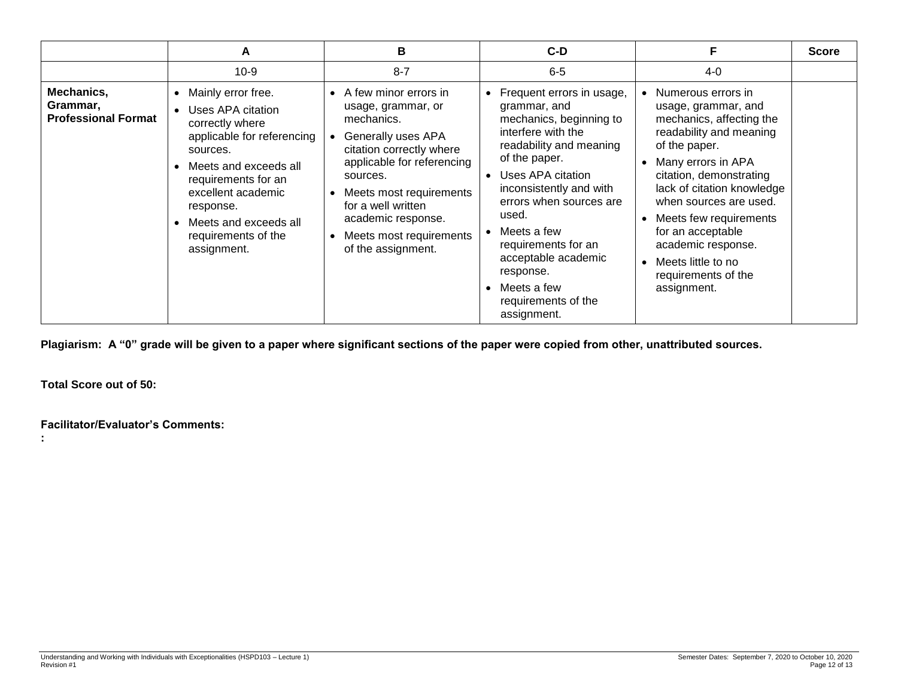|                                                      | A                                                                                                                                                                                                                                                                                | B                                                                                                                                                                                                                                                                                                         | C-D                                                                                                                                                                                                                                                                                                                                                       | F                                                                                                                                                                                                                                                                                                                                                             | <b>Score</b> |
|------------------------------------------------------|----------------------------------------------------------------------------------------------------------------------------------------------------------------------------------------------------------------------------------------------------------------------------------|-----------------------------------------------------------------------------------------------------------------------------------------------------------------------------------------------------------------------------------------------------------------------------------------------------------|-----------------------------------------------------------------------------------------------------------------------------------------------------------------------------------------------------------------------------------------------------------------------------------------------------------------------------------------------------------|---------------------------------------------------------------------------------------------------------------------------------------------------------------------------------------------------------------------------------------------------------------------------------------------------------------------------------------------------------------|--------------|
|                                                      | $10-9$                                                                                                                                                                                                                                                                           | $8 - 7$                                                                                                                                                                                                                                                                                                   | $6-5$                                                                                                                                                                                                                                                                                                                                                     | $4-0$                                                                                                                                                                                                                                                                                                                                                         |              |
| Mechanics,<br>Grammar,<br><b>Professional Format</b> | Mainly error free.<br>$\bullet$<br>Uses APA citation<br>correctly where<br>applicable for referencing<br>sources.<br>Meets and exceeds all<br>requirements for an<br>excellent academic<br>response.<br>Meets and exceeds all<br>$\bullet$<br>requirements of the<br>assignment. | • A few minor errors in<br>usage, grammar, or<br>mechanics.<br>Generally uses APA<br>citation correctly where<br>applicable for referencing<br>sources.<br>Meets most requirements<br>$\bullet$<br>for a well written<br>academic response.<br>Meets most requirements<br>$\bullet$<br>of the assignment. | Frequent errors in usage,<br>grammar, and<br>mechanics, beginning to<br>interfere with the<br>readability and meaning<br>of the paper.<br>Uses APA citation<br>inconsistently and with<br>errors when sources are<br>used.<br>Meets a few<br>requirements for an<br>acceptable academic<br>response.<br>Meets a few<br>requirements of the<br>assignment. | • Numerous errors in<br>usage, grammar, and<br>mechanics, affecting the<br>readability and meaning<br>of the paper.<br>Many errors in APA<br>citation, demonstrating<br>lack of citation knowledge<br>when sources are used.<br>Meets few requirements<br>for an acceptable<br>academic response.<br>Meets little to no<br>requirements of the<br>assignment. |              |

**Plagiarism: A "0" grade will be given to a paper where significant sections of the paper were copied from other, unattributed sources.**

**Total Score out of 50:**

**Facilitator/Evaluator's Comments:**

**:**